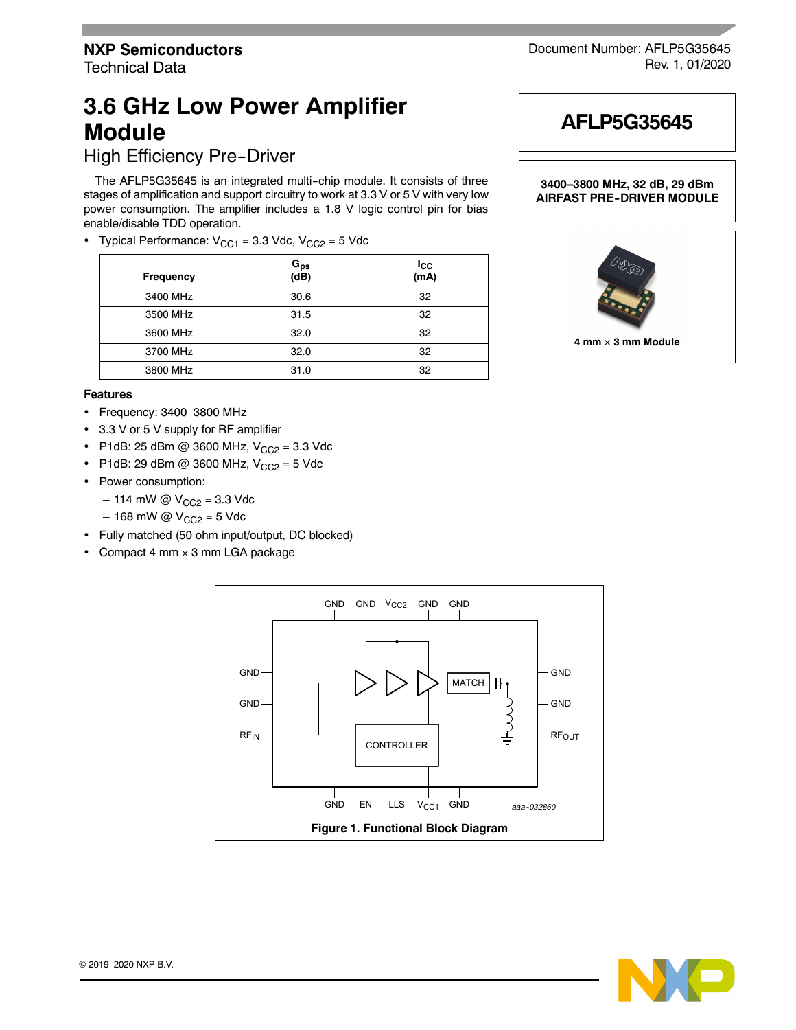High Efficiency Pre-Driver

The AFLP5G35645 is an integrated multi-chip module. It consists of three stages of amplification and support circuitry to work at 3.3 V or 5 V with very low power consumption. The amplifier includes a 1.8 V logic control pin for bias enable/disable TDD operation.

• Typical Performance:  $V_{CC1} = 3.3$  Vdc,  $V_{CC2} = 5$  Vdc

| <b>Frequency</b> | G <sub>ps</sub><br>(dB) | $I_{\rm CC}$<br>(mA) |
|------------------|-------------------------|----------------------|
| 3400 MHz         | 30.6                    | 32                   |
| 3500 MHz         | 31.5                    | 32                   |
| 3600 MHz         | 32.0                    | 32                   |
| 3700 MHz         | 32.0                    | 32                   |
| 3800 MHz         | 31.0                    | 32                   |

#### **Features**

- Frequency: 3400–3800 MHz
- 3.3 V or 5 V supply for RF amplifier
- P1dB: 25 dBm @ 3600 MHz,  $V_{CC2} = 3.3$  Vdc
- P1dB: 29 dBm @ 3600 MHz,  $V_{CC2} = 5$  Vdc
- Power consumption:
	- $-$  114 mW @  $V_{CC2} = 3.3$  Vdc
	- $-168$  mW @  $V_{CC2} = 5$  Vdc
- Fully matched (50 ohm input/output, DC blocked)
- Compact 4 mm  $\times$  3 mm LGA package





Document Number: AFLP5G35645



**3400–3800 MHz, 32 dB, 29 dBm AIRFAST PRE-DRIVER MODULE** 



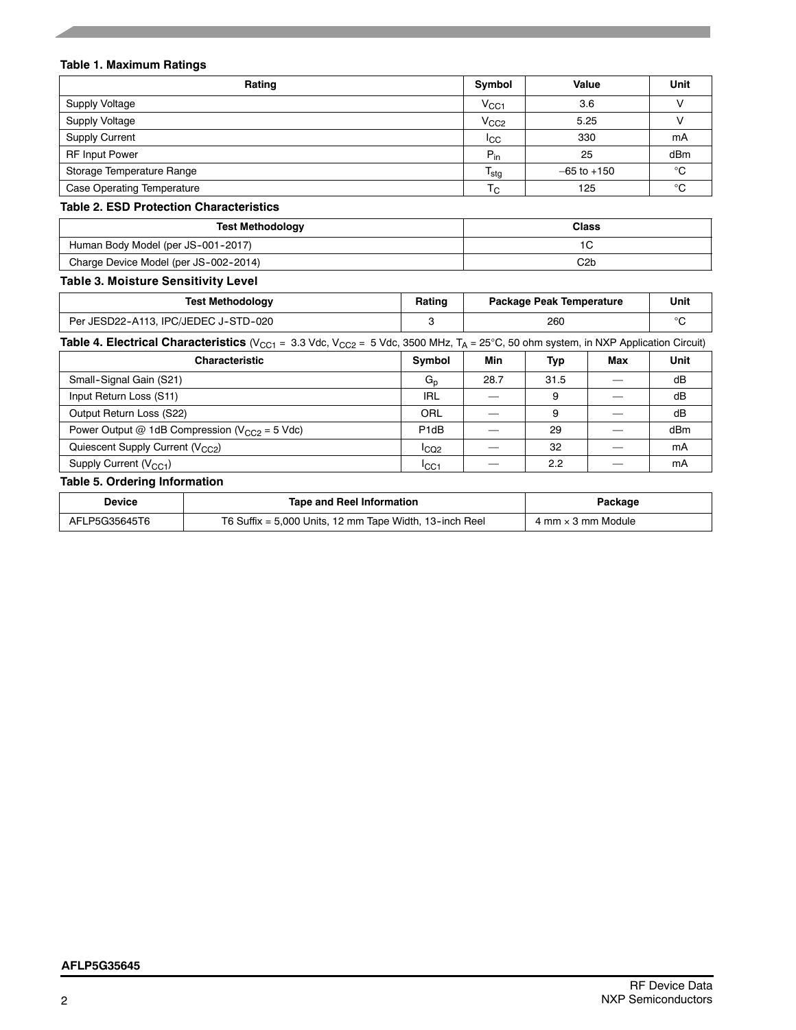#### **Table 1. Maximum Ratings**

| Rating                     | Symbol                    | Value           | Unit   |
|----------------------------|---------------------------|-----------------|--------|
| <b>Supply Voltage</b>      | $\rm V_{CG1}$             | 3.6             |        |
| <b>Supply Voltage</b>      | V <sub>CC2</sub>          | 5.25            |        |
| <b>Supply Current</b>      | <b>ICC</b>                | 330             | mA     |
| <b>RF Input Power</b>      | $P_{in}$                  | 25              | dBm    |
| Storage Temperature Range  | $\mathsf{T_{\text{stg}}}$ | $-65$ to $+150$ | °C     |
| Case Operating Temperature | $T_{\rm C}$               | 125             | $\sim$ |

#### **Table 2. ESD Protection Characteristics**

| <b>Test Methodology</b>               | Class |
|---------------------------------------|-------|
| Human Body Model (per JS-001-2017)    |       |
| Charge Device Model (per JS-002-2014) | C2b   |

# **Table 3. Moisture Sensitivity Level**

| <b>Test Methodology</b>              | Rating | <b>Package Peak Temperature</b> | Unit |
|--------------------------------------|--------|---------------------------------|------|
| Per JESD22-A113, IPC/JEDEC J-STD-020 |        | 260                             |      |

Table 4. Electrical Characteristics (V<sub>CC1</sub> = 3.3 Vdc, V<sub>CC2</sub> = 5 Vdc, 3500 MHz, T<sub>A</sub> = 25°C, 50 ohm system, in NXP Application Circuit)

| <b>Characteristic</b>                               | Symbol            | Min  | Тур  | Max | Unit |
|-----------------------------------------------------|-------------------|------|------|-----|------|
| Small-Signal Gain (S21)                             | $G_n$             | 28.7 | 31.5 |     | dB   |
| Input Return Loss (S11)                             | <b>IRL</b>        |      | 9    |     | dB   |
| Output Return Loss (S22)                            | ORL               |      | 9    |     | dB   |
| Power Output @ 1dB Compression ( $V_{CC2}$ = 5 Vdc) | P <sub>1d</sub> B |      | 29   |     | dBm  |
| Quiescent Supply Current (V <sub>CC2</sub> )        | ICQ2              |      | 32   |     | mA   |
| Supply Current $(V_{CC1})$                          | I <sub>CC1</sub>  |      | 2.2  |     | mA   |

#### **Table 5. Ordering Information**

| Device        | <b>Tape and Reel Information</b>                          | Package                   |
|---------------|-----------------------------------------------------------|---------------------------|
| AFLP5G35645T6 | T6 Suffix = $5,000$ Units, 12 mm Tape Width, 13-inch Reel | 4 mm $\times$ 3 mm Module |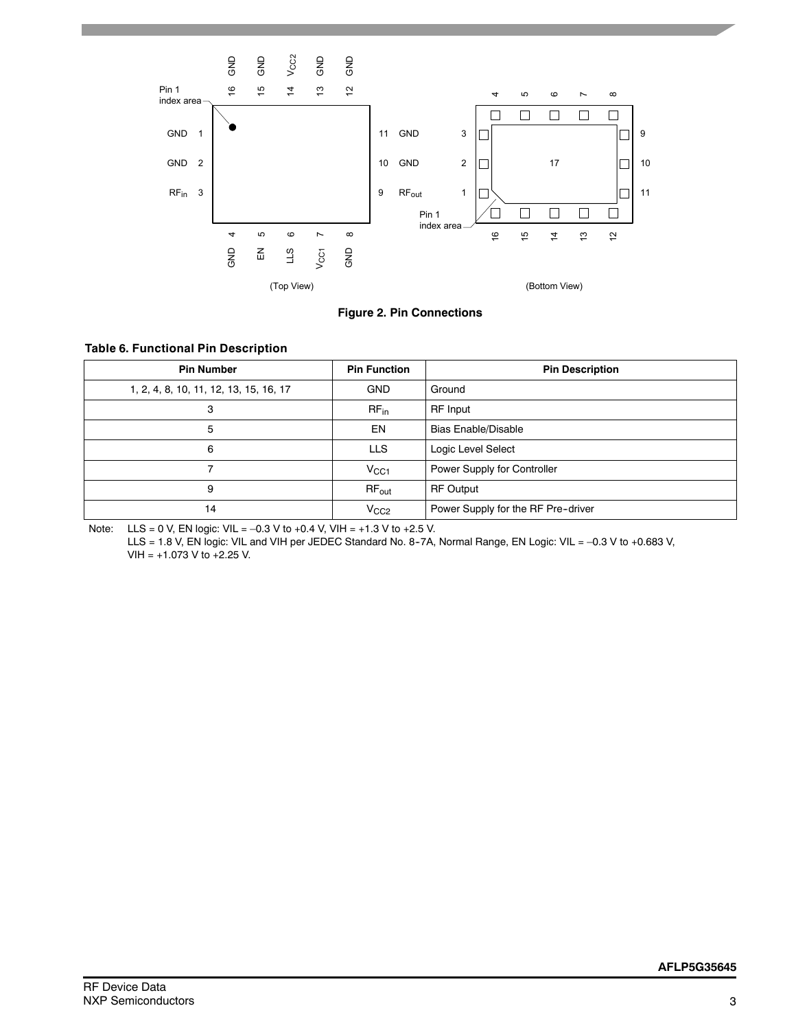



#### **Table 6. Functional Pin Description**

| <b>Pin Number</b>                      | <b>Pin Function</b> | <b>Pin Description</b>             |
|----------------------------------------|---------------------|------------------------------------|
| 1, 2, 4, 8, 10, 11, 12, 13, 15, 16, 17 | <b>GND</b>          | Ground                             |
| 3                                      | $RF_{in}$           | <b>RF</b> Input                    |
| 5                                      | EN                  | <b>Bias Enable/Disable</b>         |
| 6                                      | <b>LLS</b>          | Logic Level Select                 |
| 7                                      | $V_{CC1}$           | Power Supply for Controller        |
| 9                                      | $RF_{out}$          | <b>RF Output</b>                   |
| 14                                     | V <sub>CC2</sub>    | Power Supply for the RF Pre-driver |

Note: LLS = 0 V, EN logic: VIL = –0.3 V to +0.4 V, VIH = +1.3 V to +2.5 V.

LLS = 1.8 V, EN logic: VIL and VIH per JEDEC Standard No. 8-7A, Normal Range, EN Logic: VIL = -0.3 V to +0.683 V, VIH = +1.073 V to +2.25 V.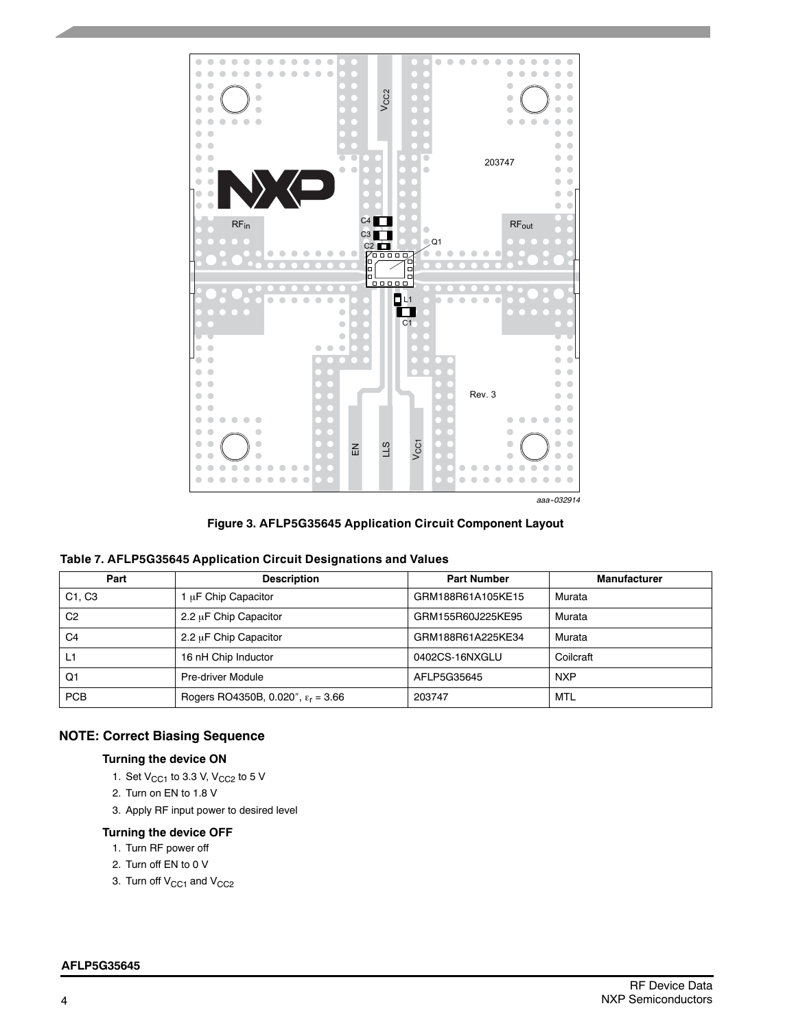

**Figure 3. AFLP5G35645 Application Circuit Component Layout**

| Part                            | <b>Description</b>                          | <b>Part Number</b> | <b>Manufacturer</b> |
|---------------------------------|---------------------------------------------|--------------------|---------------------|
| C <sub>1</sub> . C <sub>3</sub> | 1 µF Chip Capacitor                         | GRM188R61A105KE15  | Murata              |
| C <sub>2</sub>                  | $2.2 \mu$ F Chip Capacitor                  | GRM155R60J225KE95  | Murata              |
| C4                              | 2.2 µF Chip Capacitor                       | GRM188R61A225KE34  | Murata              |
| L۶                              | 16 nH Chip Inductor                         | 0402CS-16NXGLU     | Coilcraft           |
| Q1                              | Pre-driver Module                           | AFLP5G35645        | <b>NXP</b>          |
| <b>PCB</b>                      | Rogers RO4350B, 0.020", $\epsilon_r = 3.66$ | 203747             | MTL                 |

# **NOTE: Correct Biasing Sequence**

#### **Turning the device ON**

- 1. Set  $V_{CC1}$  to 3.3 V,  $V_{CC2}$  to 5 V
- 2. Turn on EN to 1.8 V
- 3. Apply RF input power to desired level

# **Turning the device OFF**

- 1. Turn RF power off
- 2. Turn off EN to 0 V
- 3. Turn off V<sub>CC1</sub> and V<sub>CC2</sub>

#### **AFLP5G35645**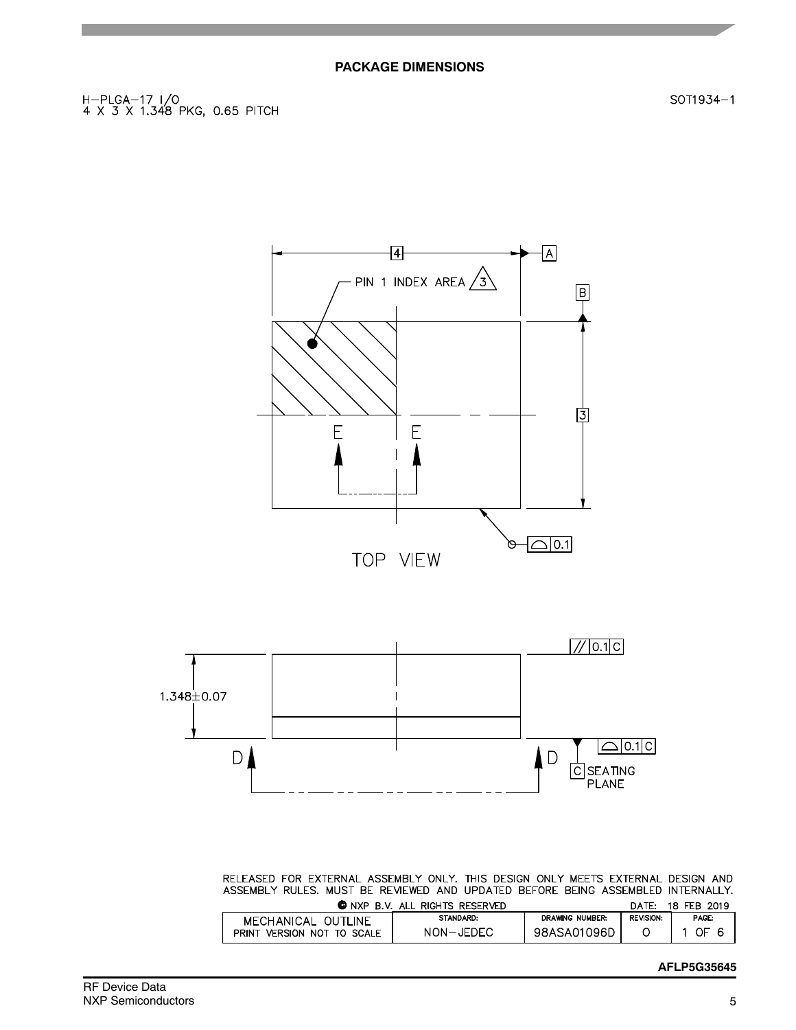H-PLGA-17 I/O<br>4 X 3 X 1.348 PKG, 0.65 PITCH

团  $\lceil A \rceil$ - PIN 1 INDEX AREA  $\sqrt{3}$  $\boxed{B}$ 卪  $E$ E  $\rightarrow$  0.1 TOP VIEW



RELEASED FOR EXTERNAL ASSEMBLY ONLY. THIS DESIGN ONLY MEETS EXTERNAL DESIGN AND ASSEMBLY RULES. MUST BE REVIEWED AND UPDATED BEFORE BEING ASSEMBLED INTERNALLY.

|                               | <b>O</b> NXP B.V. ALL RIGHTS RESERVED |                 | DATE:            | 18 FEB 2019 |
|-------------------------------|---------------------------------------|-----------------|------------------|-------------|
| MECHANICAL OUTLINE            | STANDARD:                             | DRAWING NUMBER: | <b>REVISION:</b> | PAGE:       |
| PRINT<br>VERSION NOT TO SCALE | NON-JEDEC                             | 98ASA01096D     |                  | OF          |

## **AFLP5G35645**

SOT1934-1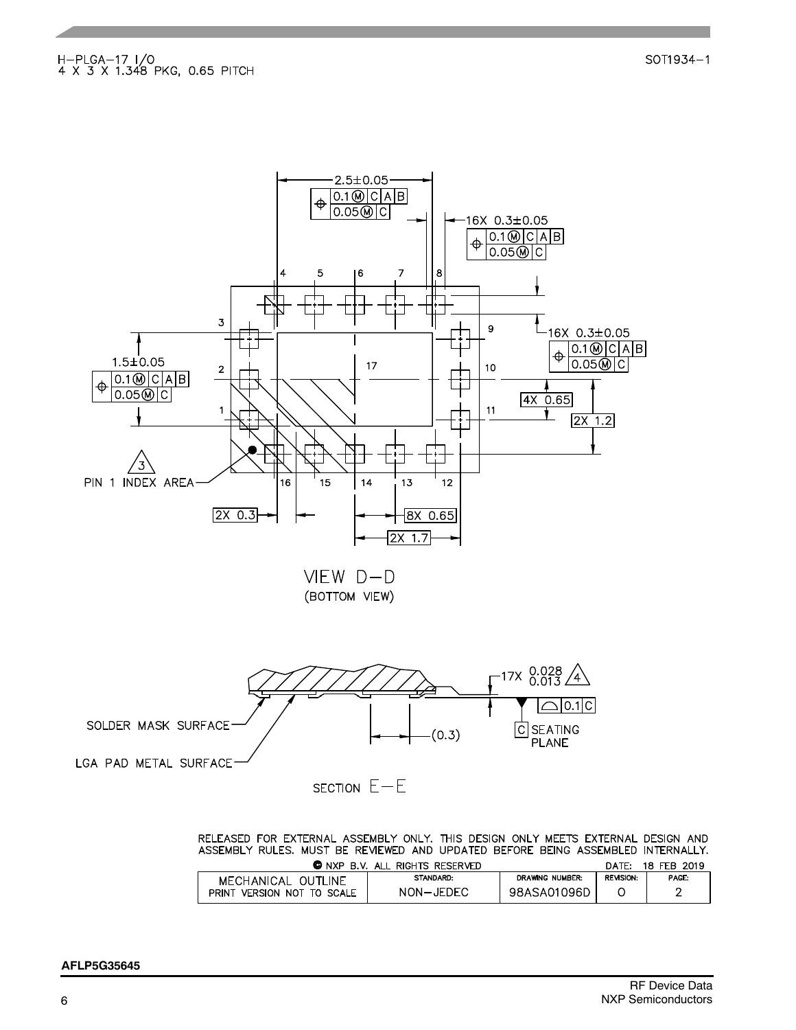

SECTION  $E-E$ 

RELEASED FOR EXTERNAL ASSEMBLY ONLY. THIS DESIGN ONLY MEETS EXTERNAL DESIGN AND ASSEMBLY RULES. MUST BE REVIEWED AND UPDATED BEFORE BEING ASSEMBLED INTERNALLY.

| CONXPRV                       | ALL<br>. RIGHTS RESERVED |                        | DATE:            | 18 FEB<br>2019 |
|-------------------------------|--------------------------|------------------------|------------------|----------------|
| MECHANICAL OUTLINE            | <b>STANDARD:</b>         | <b>DRAWING NUMBER:</b> | <b>REVISION:</b> | PAGE:          |
| VERSION NOT TO SCALE<br>PRINT | NON-JEDEC                | 98ASA01096D            |                  |                |
|                               |                          |                        |                  |                |

SOT1934-1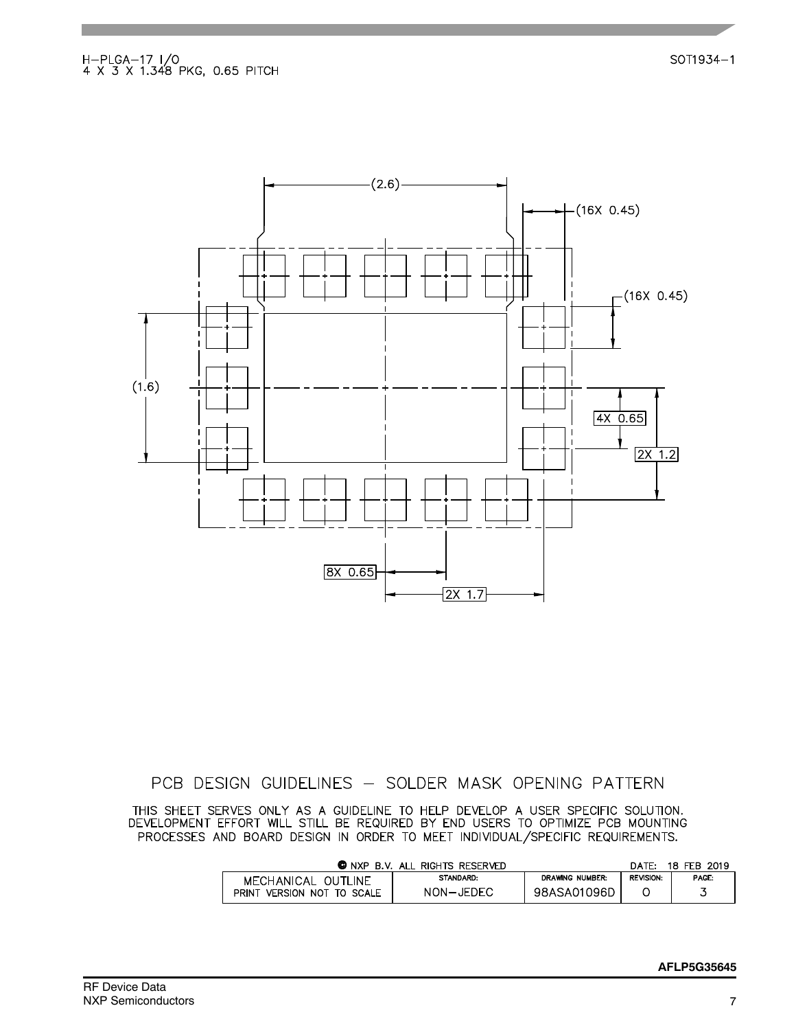SOT1934-1



# PCB DESIGN GUIDELINES - SOLDER MASK OPENING PATTERN

THIS SHEET SERVES ONLY AS A GUIDELINE TO HELP DEVELOP A USER SPECIFIC SOLUTION.<br>DEVELOPMENT EFFORT WILL STILL BE REQUIRED BY END USERS TO OPTIMIZE PCB MOUNTING PROCESSES AND BOARD DESIGN IN ORDER TO MEET INDIVIDUAL/SPECIFIC REQUIREMENTS.

|                               | <b>O</b> NXP B.V. ALL RIGHTS RESERVED |                 | DATF:            | 18 FEB 2019 |
|-------------------------------|---------------------------------------|-----------------|------------------|-------------|
| MECHANICAL OUTLINE            | <b>STANDARD:</b>                      | DRAWING NUMBER: | <b>REVISION:</b> | PAGE:       |
| PRINT<br>VERSION NOT TO SCALE | NON-JEDEC                             | 98ASA01096D     |                  |             |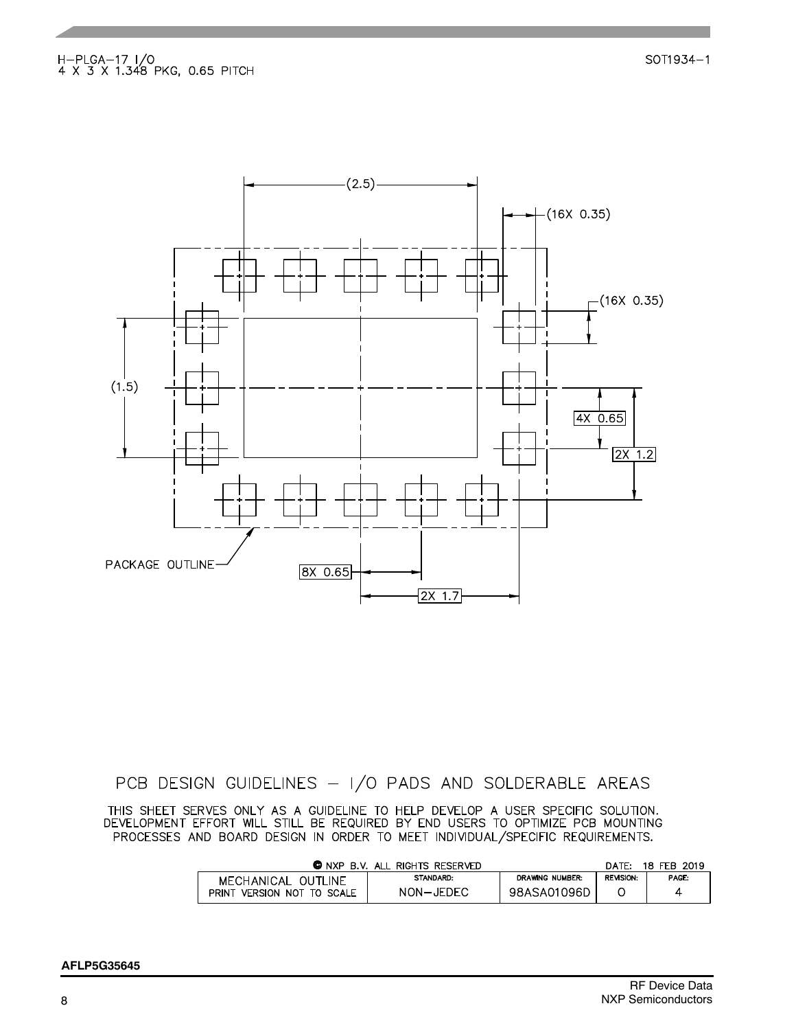

PCB DESIGN GUIDELINES - I/O PADS AND SOLDERABLE AREAS

THIS SHEET SERVES ONLY AS A GUIDELINE TO HELP DEVELOP A USER SPECIFIC SOLUTION.<br>DEVELOPMENT EFFORT WILL STILL BE REQUIRED BY END USERS TO OPTIMIZE PCB MOUNTING PROCESSES AND BOARD DESIGN IN ORDER TO MEET INDIVIDUAL/SPECIFIC REQUIREMENTS.

|                               | <b>C</b> NXP B.V. ALL RIGHTS RESERVED |                 | DATF:            | 18 FEB 2019 |
|-------------------------------|---------------------------------------|-----------------|------------------|-------------|
| MECHANICAL OUTLINE            | STANDARD:                             | DRAWING NUMBER: | <b>REVISION:</b> | PAGE:       |
| PRINT<br>VERSION NOT TO SCALE | NON-JEDEC                             | 98ASA01096D     |                  | 4           |

SOT1934-1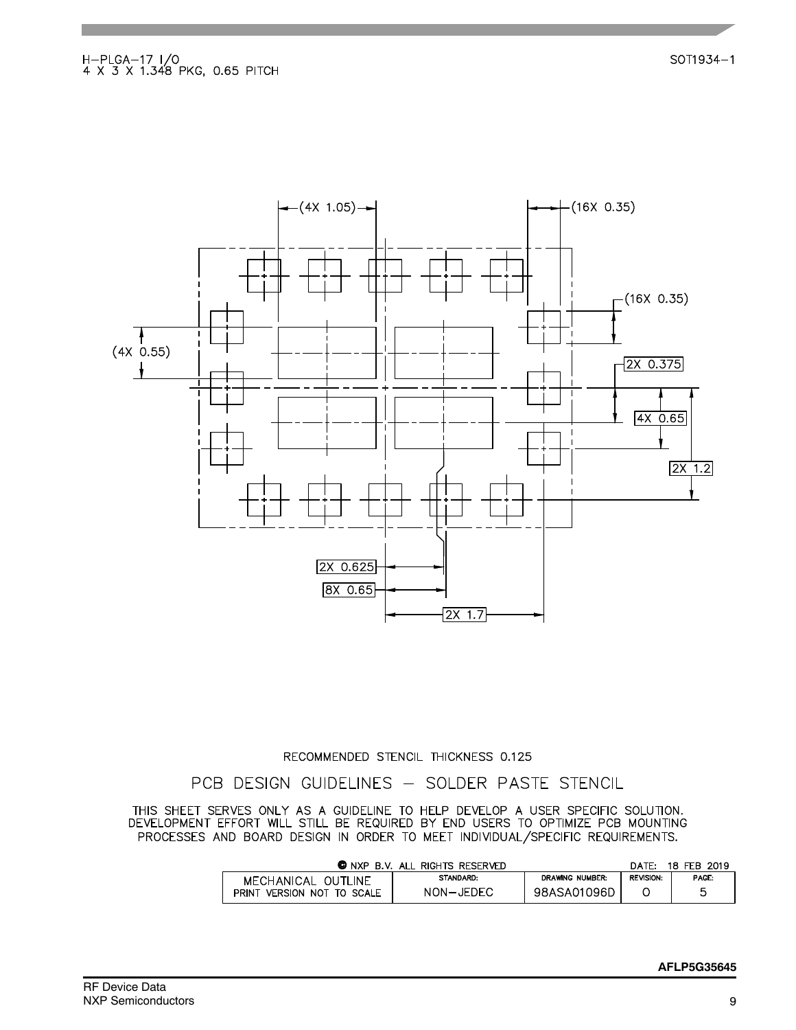

#### RECOMMENDED STENCIL THICKNESS 0.125

PCB DESIGN GUIDELINES - SOLDER PASTE STENCIL

THIS SHEET SERVES ONLY AS A GUIDELINE TO HELP DEVELOP A USER SPECIFIC SOLUTION.<br>DEVELOPMENT EFFORT WILL STILL BE REQUIRED BY END USERS TO OPTIMIZE PCB MOUNTING PROCESSES AND BOARD DESIGN IN ORDER TO MEET INDIVIDUAL/SPECIFIC REQUIREMENTS.

| <b>O</b> NXP B.V. ALL RIGHTS RESERVED |           |                 |                  | 18 FEB 2019 |
|---------------------------------------|-----------|-----------------|------------------|-------------|
| MECHANICAL OUTLINE                    | STANDARD: | DRAWING NUMBER: | <b>REVISION:</b> | PAGE:       |
| PRINT<br>VERSION NOT TO SCALE         | NON-JEDEC | 98ASA01096D     |                  | Б           |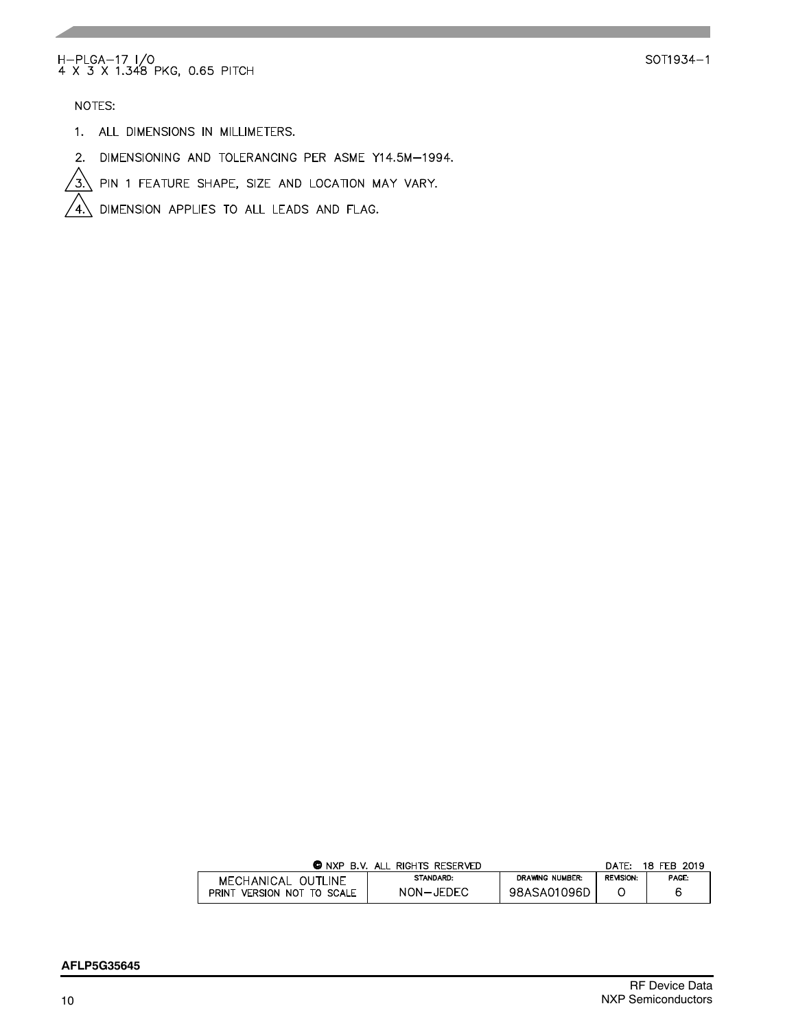# H-PLGA-17 I/O<br>4 X 3 X 1.348 PKG, 0.65 PITCH

SOT1934-1

NOTES:

- 1. ALL DIMENSIONS IN MILLIMETERS.
- 2. DIMENSIONING AND TOLERANCING PER ASME Y14.5M-1994.
- $\sqrt{3}$ PIN 1 FEATURE SHAPE, SIZE AND LOCATION MAY VARY.

DIMENSION APPLIES TO ALL LEADS AND FLAG.  $\sqrt{4}$ .

| <b>C</b> NXP<br>B.V. ALL RIGHTS RESERVED            | DATF:     | 18 FEB 2019     |                  |       |
|-----------------------------------------------------|-----------|-----------------|------------------|-------|
| MECHANICAL OUTLINE<br>VERSION NOT TO SCALE<br>PRINT | STANDARD: | DRAWING NUMBER: | <b>REVISION:</b> | PAGE: |
|                                                     | NON-JEDEC | 98ASA01096D     |                  |       |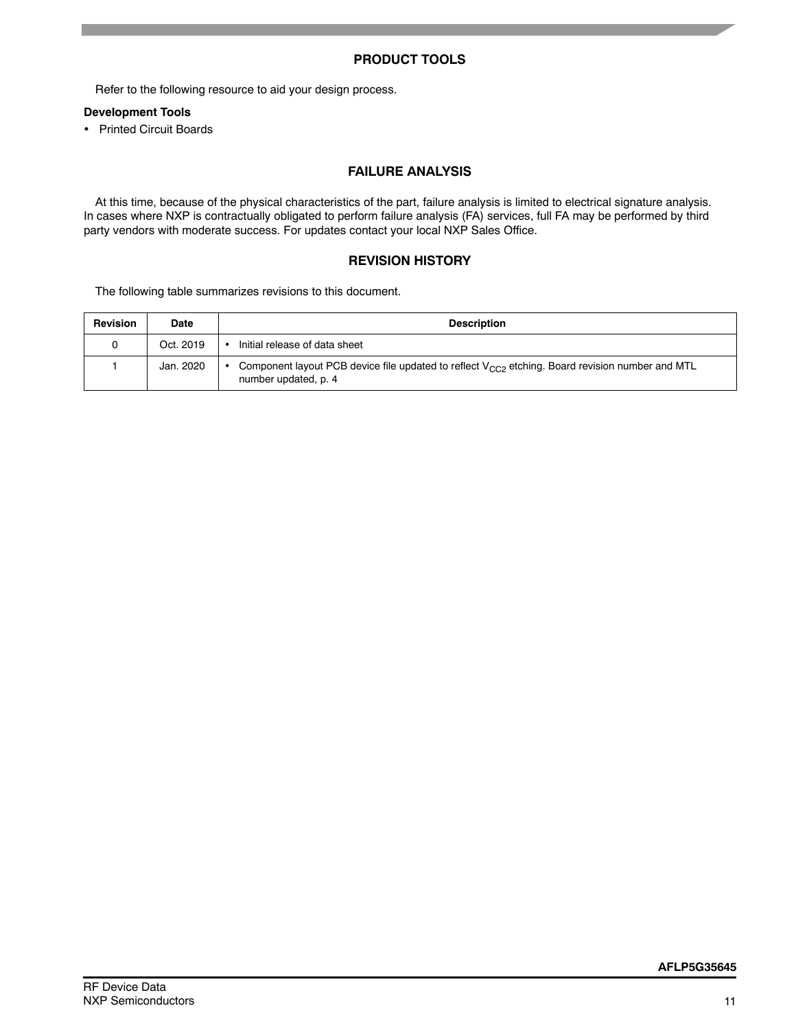# **PRODUCT TOOLS**

Refer to the following resource to aid your design process.

## **Development Tools**

• Printed Circuit Boards

# **FAILURE ANALYSIS**

At this time, because of the physical characteristics of the part, failure analysis is limited to electrical signature analysis. In cases where NXP is contractually obligated to perform failure analysis (FA) services, full FA may be performed by third party vendors with moderate success. For updates contact your local NXP Sales Office.

#### **REVISION HISTORY**

The following table summarizes revisions to this document.

| <b>Revision</b> | <b>Date</b> | <b>Description</b>                                                                                                          |
|-----------------|-------------|-----------------------------------------------------------------------------------------------------------------------------|
|                 | Oct. 2019   | Initial release of data sheet                                                                                               |
|                 | Jan. 2020   | Component layout PCB device file updated to reflect $V_{CC}$ etching. Board revision number and MTL<br>number updated, p. 4 |